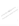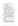## บรรณานุกรม

กรมวิชาการ. (2523). แนวทางปฏิบัติจริยธรรมไทย. กรุงเทพมหานคร: โรงพิมพ์ การศาสนา กระทรวงศึกษาธิการ.

- . (2528). **แนวทางการพัฒนาจริยธรรม.** กรุงเทพมหานคร: โรงพิมพ์ การศาสนา กระทรวงศึกษาธิการ.

กรมสามัญศึกษา. (2535). คู่มือการพัฒนาการเรียนการสอนตามหลักสูตร. กรุงเทพมหานคร: มิตรภาพการพิมพ์และสตูดิโอ จำกัด.

้กรมอาชีวศึกษา. (ม.ป.ป.). การบูรณาการคุณธรรม จริยธรรม ค่ำนิยม และคุณลักษณะอันพึงประสงค์. กรุงเทพมหานคร: กรมอาชีวส์กับ∖ุ้ง

์ กุหลาบ ดิย๎ะสัตย์กุลโกวิท. (2531). รายงานการวิจัย เรื่อง การศึกษาและ ิ การเปรียบเทียบการใช้เหตุผลเชิงจริยธรรม ของหักเรียนชั้นมัธยมศึกษา ตอนต้น การศึกษา 2530 โรงเรียนสวนอุนันต์ ด่วงไทพฯ: กองวิจัยการศึกษา กรมวิชาการ.

กำธร เสนจันทร์ฒิไชย. (2539). การศึกษาพิสติภรรมของนักศึกษาวิทยาสัยเทคนิค ระดับ ปวส. และ ปุวท) เขิดการศึกษา 7; กรณีการกระทำผิดจินัยและ ข้อบังคันในสถุงนสีลษา ปีการศึกษา 2538. วิทยานิพนธ์ปริญญามหาบัณฑิต สาขาการับริหารศารศึกษา บัณฑิตวิทยาลัย มหาวิงชาลัยนิรศวร พิษณุโลก.

จันทนี ทุมโฆษีติ (2534). การศึกษาความเข้าใจหาจิตริย์ธรรมของนักเรียน ่ผู้ธยัมศึกษาตอนปลายกรุงเทพมิงสันครั้น วิทิยานิพนธ์**ปริญญามหาบัณฑิต** ิภาควิชามัธยมศึกษา บัณฑิตุอิสุยิงจัย จุฬาลงกรณมหาวิทยาลัย.

.<br>|วรรณ พานทอง. (2536). สุจริเปิริฮบเทียบเ<mark>ทตุผลเชิงจริยธรรมของนักเรียน</mark><br>| ชั้นมัธยมศึกสาดตุนดัน สังกัดกรมสา**มัญศึกษา จังหวัดนครสวรรค์** ู้วิทยานิพน์นั้นโริญญามหาบัณฑิต <mark>คณะศึกษาศาสตร์ บัณฑิตวิทยาลัย มหาวิทยาลัย</mark> นเรศจร พิษณุโลก.

งิราโกรณ์ ∖อารัยะรังสฤษฏ์ (2539). "พัฒนาการด้านจริยธรรมของเด็ก," วารสารแนะแนว. 30  $(162) : 53-59.$ 

ัดวงเดือน พันธุมนาวิน. (2524). พฤติกรรมศาสตร์ เล่ม 2. กรุงเทพมหานคร: ไทยวัฒนาพานิช.

ดนัย จารุประสิทธิ์. (2533). การศึกษาทัศนคติเชิงจริยธรรมของนักศึกษาวิชาเอก ุพลศึกษาในกลุ่มวิทยาลัยพลศึกษาภาคใต้. วิทยานิพนธ์ปริญญามหาบัณฑิด ึดณะศึกษาศาสตร์ บัณฑิตวิทยาลัย มหาวิทยาลัยศรีนครินทรวิโรฒ มหาสารคาม.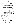**ธีระ ชัยยุทธยรรยง. (2535, กุมภาพันธ์-มีน**าคม). "ค่านิยมกับการพัฒนาคุณธรรม จริยธรรม **LLA~?P~U,\*~ ai'iai'iLLUaLUa. 26(139)** : **45-50.** 

นวลละออ แสงสุข. (2544, มกราคม-มิถุนายน). "การศึกษาพฤติกรรมเชิงจริยธรรมของ ้นักเรียนชั้นมัธยมศึกษาตอนต้น โรงเรียนสาธิตมหาวิทยาลัยรามคำแหง."

วารสารวิจัยมหาวิทยาลัยรามคำแหง. 4(1) : 6-7.

**บรรจง ชูสกุลชาติ. (2532). คู่มือพัฒนาคุณธรรม.** กรุงเทพมหานคร: โรงพิมพ์การศาสนา.

ประคอง กรรณสูต. (2538). สถิติศาสตร์ประยุกต์สำหรับครู กรุงเทพฯ: ไทยวัฒนาฟ้านิช) ประภาศรี สีหอำไพ. (2540). **พื้นฐานการศึกษาทางศาสนาและจริย**ธรรม

กรุงเทพมหานคร: ุสำนักพิมพ์จุฬาลงกรณมหาวิทยาลัย.

พิมพ์พรรณ เทพสุเมธานนท์. (2544, มกราคม-มิถุนายน). "จริยฐวัจมูของอาจารย์และ นักเรียนมัธยมศึกษาตอนปลาย," วารสหรัวจัยมหาจิตยาลัยรามคำแหง. 4(1):  $24 - 25.$ 

ใพโรจน์ ปานอยู่. (2536). ผลการสอนโดยก็ที่จุ่งสัมจัมพันธ์กับวิธีการสอนตามป์ที่ติ ที่มีผลต่อพฤติกรรมเทิงสิริยธรรมของนักเรียนชั้นประถมศึกษาปีที่ 5. วิทยานิพบธ์ปริญญัติมหาบัณฑิต คณะศึกษาศาสตร์ บัณฑิตวิชัยาลัย มหาวิทยาลัยน์เริควร พิษณุโลก.

ภมร ศิลป์ดอนบั้ม \2537). ผลการใช้แม่แบบสัญสักษณ์ในการพัฒนาเจตคติเชิง ึ่งจิ้ยธรรมด้านความรับผิดชอบของนักเรียนระดับชั้นประถม.

ี วิทยานิพนธ์ปริญญามหาบัณฑิต สาขาธิตรีทยาการศึก**ษา บัณฑิตวิทยาลัย** มหาวิทยาลัยศรีนครินทร์สิโรค มหาสารคาม.

ราชบัณฑิตยสถาน. (2531) พิจนาฬิกรมฉบับราชบัณฑิตยสถาน พุทธศักราช 2525. พิมพ์ครั้งที่ 3 หรือไทพมหานคร: โรงพิมพ์อักษรเจริญทัศน์.

โรงเรียนสมธิดุมหาวิทยาลัยรัวมคำแหง. (2540). คู่มือนักเรียนและผู้ปกครอง.

∖กรุงเทพมหานคร: สำนักพิมพ์มหาวิทยาลัยรามคำแหง.

วร<sub>ิ</sub>สัญหนั<sup>้ว</sup>ีแจ่มใส. (2540). การ**ศึกษาบุคลิกภาพของนิสิตปริญญาตรี มหาวิทยาลัย** ศรีนครินทรวิโรฒ มหาสารคาม ปีการศึกษา 2540. วิทยานิพนธ์ปริญญา มหาบัณฑิต สาขาวิชาการวัดผล มหาวิทยาลัยศรีนครินทรวิโรฒ มหาสารคาม. วิทย์ วิศทเวทย์ และเสถียรพงษ์ วรรณปก. (2533). จ**ริยธรรมกับบุคคล.** 

**n!JLnwuniuns: l.r~fiulllonw~oiyKfiU".** 

์ วิราพร พงศ์อาจารย์. (2542). **ความรู้พื้นฐานเกี่ยวกับการวิจัย.** พิษณุโลก: ฝ่ายเอกสาร ตำราสำนักส่งเสริมวิชาการ สถาบันราชภัฏพิบูลสงคราม.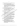สำนักงานคณะกรรมการการศึกษาแห่งชาติ. (2542). พระราชบัญญัติการศึกษาแห่งชาติ พ.ศ. 2542. กรุงเทพมหานคร: สำนักนายกรัฐมนตรี.

สง่า วุฒิประจักษ์. (2531). การศึกษาเปรียบเทียบผลสัมฤทธิ์ทางการเรียนและ ความสามารถในการใช้เหตุผลเชิงจริยธรรมในการสอนจริยธรรมกับนักเรียน ชั้นมัธยมศึกษาปีที่ 1 ด้วยการสอนแบบกระบวนการกลุ่มสัมพันธ์กับการสอน ตามคู่บือครู. วิทยานิพนธ์ปริญญามหาบัณฑิต คณะศึกษาศาสตร์ มหาวิทยาลัย ศรีนครินทรวิโรฒ ประสานมิตร.

สมาคมการศึกษาแห่งประเทศไทย. (2525). เอกสารประกอบการอบรม. กรุงเทพมหานคร: สมาคมการศึกษาแห่งประเทศไทย.

สุกรี เป้าน้อย. (2539) - ปัญหาการปลูกฝังคุณธรรมนักเรียนในโรงเรียนมัธยมศึกษา สังกัดกรมสามัญศึกษา จังหวัดมหาสารคาม. วิชมานี้พุนธ์ปริญญามหาบัณฑิต คณะศึกษาศาสตร์ มหาวิทยาลัยมหาสาร์ศาม

สุภรณ์ สภาพงศ์. (2538, มิถุนายน) "การปลูกผังคุณอาวุม จรัยอิรรม," กระจ  $3(13): 31-32.$ 

สุมาลี กลิ่นทับ. (2539). การศึกษาพฤติกรรมทำงังริยธรรมของนักเรียนชั้นมัธยมศึกษา ปีที่ 1 โรงเรียนให้โครงการขยายโอกาสทางการศึกษา สังกัดสำนักงานการ ประถมศึกษา องหรัดพิษณุโลก. วิทยานิพนธ์ปริญญามหาบัณฑิต สาชาวิชาสิทยาการแนะแนว บัณฑิตวิทย์วัลัย มิหาวิทยาลัยนเรศวร พิษณุโลก.

สุรัสรณี ปัจบุริชิต. (2538). การศึกษาพฤติการมเชิงอุจิยธรรมของนักเรียนในโรงเรียน ์ต่างประเภท. วิทยานิพนธ์ปริญญามหิวบัณฑิต สาขา**วิชาจิตวิทยา**การแ**นะแน**ว บัณฑิตวิทยาลัย มหาวิทยาลัยมหาสารคาม มหาสารคาม.

อั้จจิมา วันแต่ง. (2538). กิ่งรับใจ้ยับเทียบจริยธรรมของนักศึกษาคุรุทายาทในกลุ่ม สหวิทยาลัยสังสัตว์รัมการฝึกหัดครู. วิทยานิพนธ์ปริญญามหาบัณฑิต สาขาวิชา จิตวิชย์จกรรมนะแน้ว บัณฑิตวิทยาลัย มหาวิทยาลัยบูรพา.

อัมพร ลงดี \2540). การศึกษาบุคลิกภาพของนักศึกษาหลักสูตร ปวส. ชั้นปีที่ 2 ป๊ระเภทวิชาช่างอุตสาหกรรมของวิทยาลัยเทคนิค ในเขตการศึกษา 11. วิทยานิพนธ์ปริญญามหาบัณฑิต สาขาวิชาวิชาการวัดผลการศึกษา บัณฑิตวิทยาลัย มหาวิทยาลัยมหาสารคาม.

อารมณ์ สุดมี. (2536). พฤติกรรมเชิงจริยธรรมของนักเรียนชั้นมัธยมศึกษาปีที่ 5 โรงเรียนมัธยมศึกษา สังกัดกรมสามัญศึกษา เขตการศึกษา 7. วิทยานิพนธ์ ปริญญามหาบัณฑิต สาขาวิชาการบริหารการศึกษา บัณฑิตวิทยาลัย มหาวิทยาลัยนเรศวร พิษณุโลก.